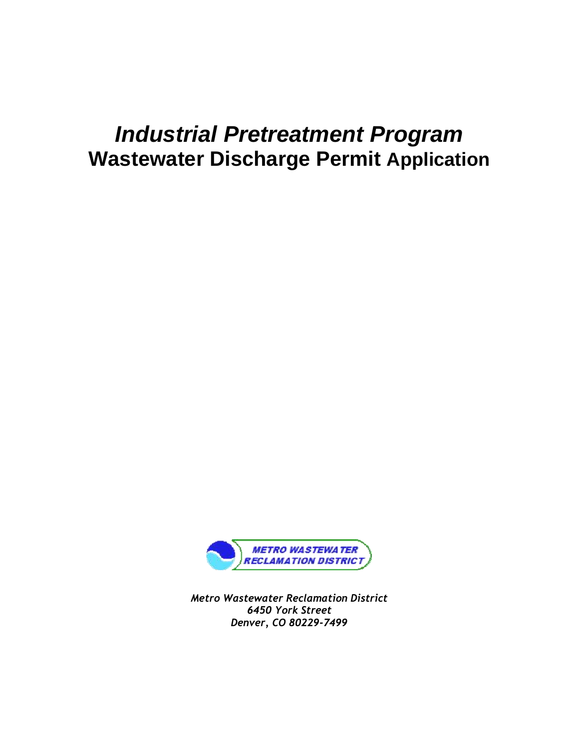# *Industrial Pretreatment Program* **Wastewater Discharge Permit Application**



*Metro Wastewater Reclamation District 6450 York Street Denver, CO 80229-7499*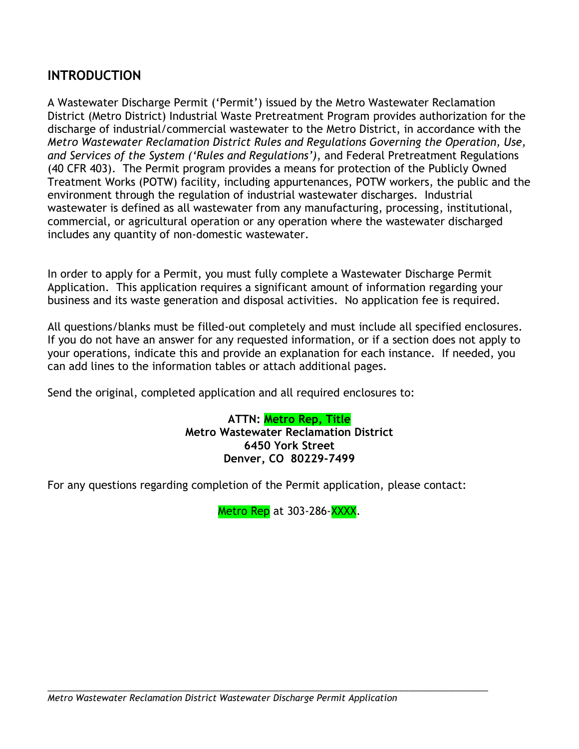### **INTRODUCTION**

A Wastewater Discharge Permit ('Permit') issued by the Metro Wastewater Reclamation District (Metro District) Industrial Waste Pretreatment Program provides authorization for the discharge of industrial/commercial wastewater to the Metro District, in accordance with the *Metro Wastewater Reclamation District Rules and Regulations Governing the Operation, Use, and Services of the System ('Rules and Regulations')*, and Federal Pretreatment Regulations (40 CFR 403). The Permit program provides a means for protection of the Publicly Owned Treatment Works (POTW) facility, including appurtenances, POTW workers, the public and the environment through the regulation of industrial wastewater discharges. Industrial wastewater is defined as all wastewater from any manufacturing, processing, institutional, commercial, or agricultural operation or any operation where the wastewater discharged includes any quantity of non-domestic wastewater.

In order to apply for a Permit, you must fully complete a Wastewater Discharge Permit Application. This application requires a significant amount of information regarding your business and its waste generation and disposal activities. No application fee is required.

All questions/blanks must be filled-out completely and must include all specified enclosures. If you do not have an answer for any requested information, or if a section does not apply to your operations, indicate this and provide an explanation for each instance. If needed, you can add lines to the information tables or attach additional pages.

Send the original, completed application and all required enclosures to:

**ATTN: Metro Rep, Title Metro Wastewater Reclamation District 6450 York Street Denver, CO 80229-7499**

For any questions regarding completion of the Permit application, please contact:

Metro Rep at 303-286-XXXX.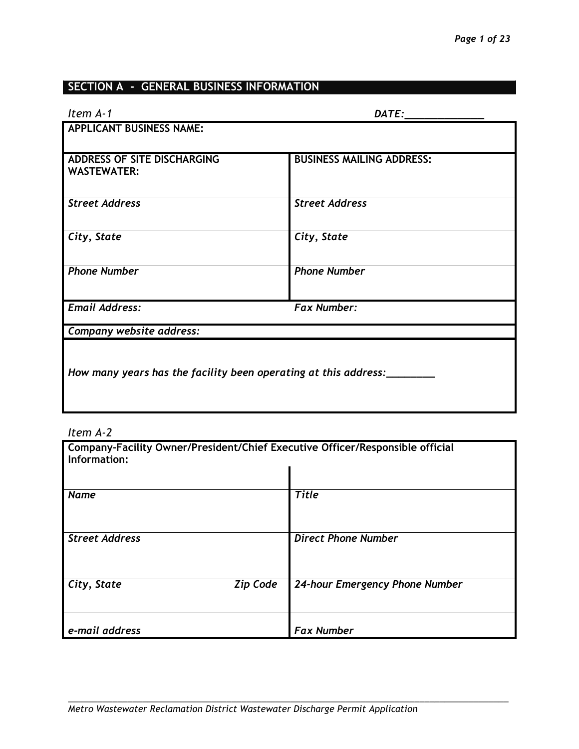## **SECTION A - GENERAL BUSINESS INFORMATION**

| Item A-1                                                        | DATE:                            |  |
|-----------------------------------------------------------------|----------------------------------|--|
| <b>APPLICANT BUSINESS NAME:</b>                                 |                                  |  |
|                                                                 |                                  |  |
| ADDRESS OF SITE DISCHARGING<br><b>WASTEWATER:</b>               | <b>BUSINESS MAILING ADDRESS:</b> |  |
| <b>Street Address</b>                                           | <b>Street Address</b>            |  |
| City, State                                                     | City, State                      |  |
| <b>Phone Number</b>                                             | <b>Phone Number</b>              |  |
| <b>Email Address:</b>                                           | <b>Fax Number:</b>               |  |
| Company website address:                                        |                                  |  |
| How many years has the facility been operating at this address: |                                  |  |

#### *Item A-2*

| Company-Facility Owner/President/Chief Executive Officer/Responsible official<br>Information: |                 |                                |  |  |
|-----------------------------------------------------------------------------------------------|-----------------|--------------------------------|--|--|
|                                                                                               |                 |                                |  |  |
| <b>Name</b>                                                                                   |                 | <b>Title</b>                   |  |  |
| <b>Street Address</b>                                                                         |                 | <b>Direct Phone Number</b>     |  |  |
| City, State                                                                                   | <b>Zip Code</b> | 24-hour Emergency Phone Number |  |  |
| e-mail address                                                                                |                 | <b>Fax Number</b>              |  |  |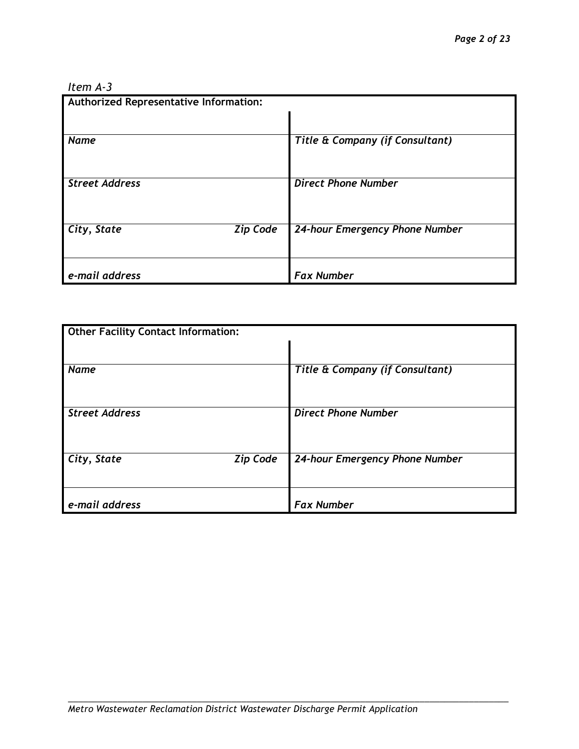#### *Item A-3*

| Authorized Representative Information: |                                 |  |  |  |
|----------------------------------------|---------------------------------|--|--|--|
|                                        |                                 |  |  |  |
| <b>Name</b>                            | Title & Company (if Consultant) |  |  |  |
| <b>Street Address</b>                  | <b>Direct Phone Number</b>      |  |  |  |
| <b>Zip Code</b><br>City, State         | 24-hour Emergency Phone Number  |  |  |  |
| e-mail address                         | <b>Fax Number</b>               |  |  |  |

| <b>Other Facility Contact Information:</b> |                                 |  |  |  |
|--------------------------------------------|---------------------------------|--|--|--|
|                                            |                                 |  |  |  |
| <b>Name</b>                                | Title & Company (if Consultant) |  |  |  |
|                                            |                                 |  |  |  |
| <b>Street Address</b>                      | <b>Direct Phone Number</b>      |  |  |  |
|                                            |                                 |  |  |  |
| City, State<br><b>Zip Code</b>             | 24-hour Emergency Phone Number  |  |  |  |
|                                            |                                 |  |  |  |
| e-mail address                             | <b>Fax Number</b>               |  |  |  |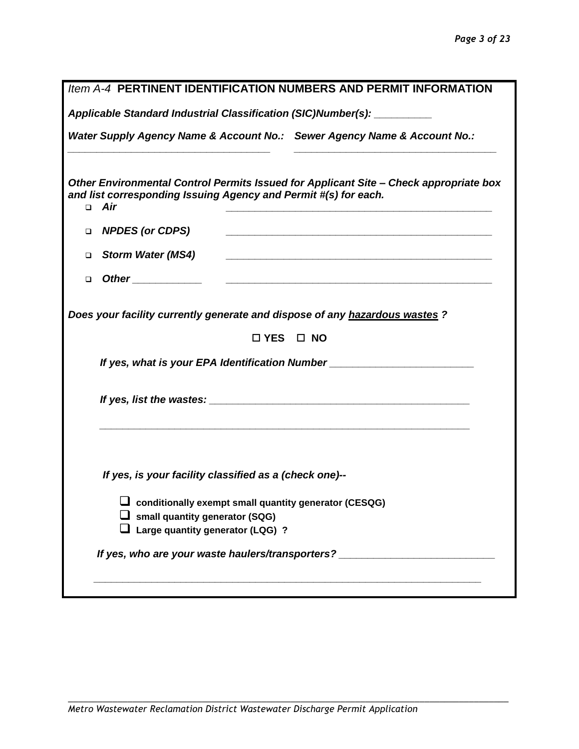|        | Item A-4 PERTINENT IDENTIFICATION NUMBERS AND PERMIT INFORMATION                                                                                                       |
|--------|------------------------------------------------------------------------------------------------------------------------------------------------------------------------|
|        | Applicable Standard Industrial Classification (SIC)Number(s): _________                                                                                                |
|        | Water Supply Agency Name & Account No.: Sewer Agency Name & Account No.:                                                                                               |
|        | Other Environmental Control Permits Issued for Applicant Site - Check appropriate box<br>and list corresponding Issuing Agency and Permit #(s) for each.<br>$\Box$ Air |
| $\Box$ | <b>NPDES (or CDPS)</b><br><u> 1989 - Johann Stoff, deutscher Stoffen und der Stoffen und der Stoffen und der Stoffen und der Stoffen und der</u>                       |
| $\Box$ | <b>Storm Water (MS4)</b><br><u> 1989 - Johann Stoff, amerikansk politiker (d. 1989)</u>                                                                                |
| $\Box$ |                                                                                                                                                                        |
|        | Does your facility currently generate and dispose of any hazardous wastes ?<br>$\Box$ YES $\Box$ NO                                                                    |
|        | If yes, what is your EPA Identification Number _________________________________                                                                                       |
|        |                                                                                                                                                                        |
|        |                                                                                                                                                                        |
|        | If yes, is your facility classified as a (check one)--                                                                                                                 |
|        | $\Box$ conditionally exempt small quantity generator (CESQG)<br>$\Box$ small quantity generator (SQG)                                                                  |
|        | Large quantity generator (LQG) ?                                                                                                                                       |
|        | If yes, who are your waste haulers/transporters? _______________________________                                                                                       |
|        |                                                                                                                                                                        |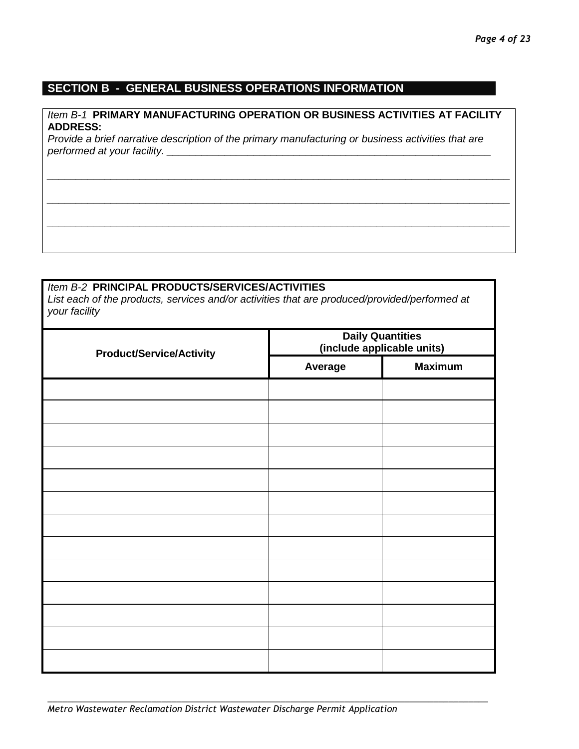#### **SECTION B - GENERAL BUSINESS OPERATIONS INFORMATION**

#### *Item B-1* **PRIMARY MANUFACTURING OPERATION OR BUSINESS ACTIVITIES AT FACILITY ADDRESS:**

*\_\_\_\_\_\_\_\_\_\_\_\_\_\_\_\_\_\_\_\_\_\_\_\_\_\_\_\_\_\_\_\_\_\_\_\_\_\_\_\_\_\_\_\_\_\_\_\_\_\_\_\_\_\_\_\_\_\_\_\_\_\_\_\_\_\_\_\_\_\_\_\_\_\_\_\_\_\_\_\_*

*\_\_\_\_\_\_\_\_\_\_\_\_\_\_\_\_\_\_\_\_\_\_\_\_\_\_\_\_\_\_\_\_\_\_\_\_\_\_\_\_\_\_\_\_\_\_\_\_\_\_\_\_\_\_\_\_\_\_\_\_\_\_\_\_\_\_\_\_\_\_\_\_\_\_\_\_\_\_\_\_*

*\_\_\_\_\_\_\_\_\_\_\_\_\_\_\_\_\_\_\_\_\_\_\_\_\_\_\_\_\_\_\_\_\_\_\_\_\_\_\_\_\_\_\_\_\_\_\_\_\_\_\_\_\_\_\_\_\_\_\_\_\_\_\_\_\_\_\_\_\_\_\_\_\_\_\_\_\_\_\_\_*

*Provide a brief narrative description of the primary manufacturing or business activities that are performed at your facility.* 

#### *Item B-2* **PRINCIPAL PRODUCTS/SERVICES/ACTIVITIES**

*List each of the products, services and/or activities that are produced/provided/performed at your facility*

| <b>Product/Service/Activity</b> | <b>Daily Quantities</b><br>(include applicable units) |                |  |  |
|---------------------------------|-------------------------------------------------------|----------------|--|--|
|                                 | Average                                               | <b>Maximum</b> |  |  |
|                                 |                                                       |                |  |  |
|                                 |                                                       |                |  |  |
|                                 |                                                       |                |  |  |
|                                 |                                                       |                |  |  |
|                                 |                                                       |                |  |  |
|                                 |                                                       |                |  |  |
|                                 |                                                       |                |  |  |
|                                 |                                                       |                |  |  |
|                                 |                                                       |                |  |  |
|                                 |                                                       |                |  |  |
|                                 |                                                       |                |  |  |
|                                 |                                                       |                |  |  |
|                                 |                                                       |                |  |  |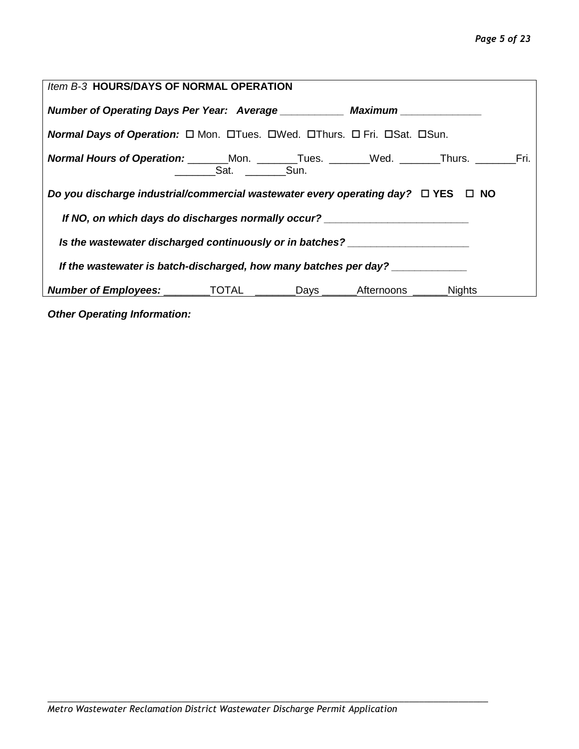#### *Page 5 of 23*

| Item B-3 HOURS/DAYS OF NORMAL OPERATION                                                                                 |           |  |  |  |  |  |  |  |
|-------------------------------------------------------------------------------------------------------------------------|-----------|--|--|--|--|--|--|--|
| Number of Operating Days Per Year: Average Maximum                                                                      |           |  |  |  |  |  |  |  |
| <b>Normal Days of Operation:</b> $\Box$ Mon. $\Box$ Tues. $\Box$ Wed. $\Box$ Thurs. $\Box$ Fri. $\Box$ Sat. $\Box$ Sun. |           |  |  |  |  |  |  |  |
| <b>Normal Hours of Operation:</b> ________Mon. ________Tues. _______Wed. _______Thurs. ________Fri.                     | Sat. Sun. |  |  |  |  |  |  |  |
| Do you discharge industrial/commercial wastewater every operating day? $\Box$ YES $\Box$ NO                             |           |  |  |  |  |  |  |  |
| If NO, on which days do discharges normally occur? _____________________________                                        |           |  |  |  |  |  |  |  |
| Is the wastewater discharged continuously or in batches? _______________________                                        |           |  |  |  |  |  |  |  |
| If the wastewater is batch-discharged, how many batches per day?                                                        |           |  |  |  |  |  |  |  |
| <b>Number of Employees:</b> _________TOTAL ________Days ______Afternoons ______Nights                                   |           |  |  |  |  |  |  |  |
| Othor Operating Information:                                                                                            |           |  |  |  |  |  |  |  |

*Other Operating Information:*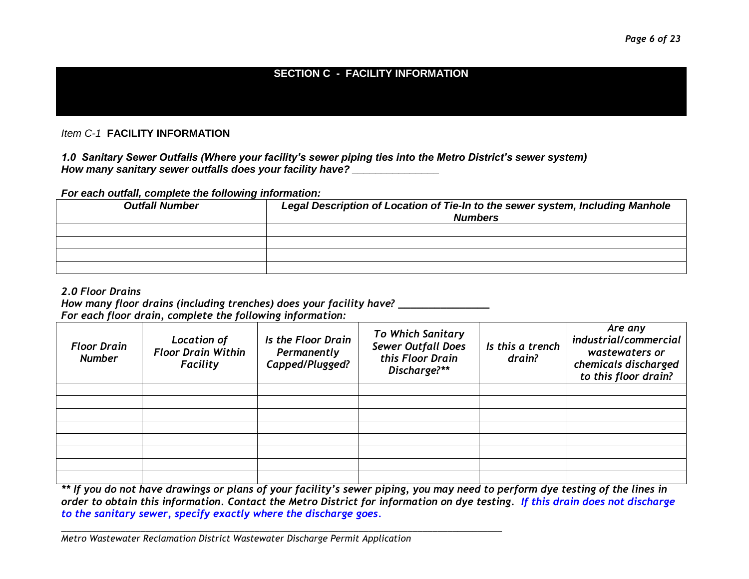#### **SECTION C - FACILITY INFORMATION**

*Item C-1* **FACILITY INFORMATION**

*1.0 Sanitary Sewer Outfalls (Where your facility's sewer piping ties into the Metro District's sewer system) How many sanitary sewer outfalls does your facility have? \_\_\_\_\_\_\_\_\_\_\_\_\_\_\_*

#### *For each outfall, complete the following information:*

| <b>Outfall Number</b> | Legal Description of Location of Tie-In to the sewer system, Including Manhole<br><b>Numbers</b> |
|-----------------------|--------------------------------------------------------------------------------------------------|
|                       |                                                                                                  |
|                       |                                                                                                  |
|                       |                                                                                                  |
|                       |                                                                                                  |

#### *2.0 Floor Drains*

## *How many floor drains (including trenches) does your facility have? \_\_\_\_\_\_\_\_\_\_\_\_\_\_\_*

|                                     | For each floor drain, complete the following information:   |                                                      |                                                                                           |                            |                                                                                                    |
|-------------------------------------|-------------------------------------------------------------|------------------------------------------------------|-------------------------------------------------------------------------------------------|----------------------------|----------------------------------------------------------------------------------------------------|
| <b>Floor Drain</b><br><b>Number</b> | Location of<br><b>Floor Drain Within</b><br><b>Facility</b> | Is the Floor Drain<br>Permanently<br>Capped/Plugged? | <b>To Which Sanitary</b><br><b>Sewer Outfall Does</b><br>this Floor Drain<br>Discharge?** | Is this a trench<br>drain? | Are any<br>industrial/commercial<br>wastewaters or<br>chemicals discharged<br>to this floor drain? |
|                                     |                                                             |                                                      |                                                                                           |                            |                                                                                                    |
|                                     |                                                             |                                                      |                                                                                           |                            |                                                                                                    |
|                                     |                                                             |                                                      |                                                                                           |                            |                                                                                                    |
|                                     |                                                             |                                                      |                                                                                           |                            |                                                                                                    |
|                                     |                                                             |                                                      |                                                                                           |                            |                                                                                                    |
|                                     |                                                             |                                                      |                                                                                           |                            |                                                                                                    |
|                                     |                                                             |                                                      |                                                                                           |                            |                                                                                                    |
|                                     |                                                             |                                                      |                                                                                           |                            |                                                                                                    |

*\*\* If you do not have drawings or plans of your facility's sewer piping, you may need to perform dye testing of the lines in order to obtain this information. Contact the Metro District for information on dye testing. If this drain does not discharge to the sanitary sewer, specify exactly where the discharge goes.*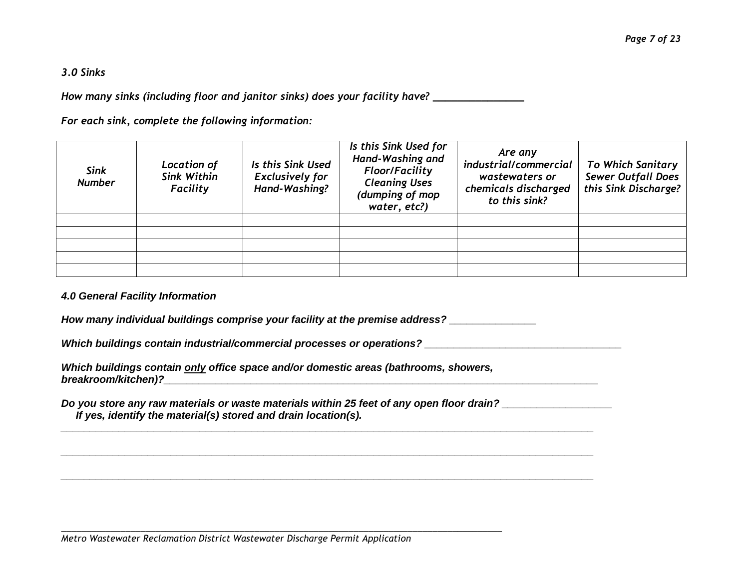#### *3.0 Sinks*

*How many sinks (including floor and janitor sinks) does your facility have? \_\_\_\_\_\_\_\_\_\_\_\_\_\_\_*

*For each sink, complete the following information:*

| <b>Sink</b><br><b>Number</b> | Location of<br><b>Sink Within</b><br><b>Facility</b> | Is this Sink Used<br><b>Exclusively for</b><br>Hand-Washing? | Is this Sink Used for<br>Hand-Washing and<br><b>Floor/Facility</b><br><b>Cleaning Uses</b><br>(dumping of mop<br>water, etc?) | Are any<br>industrial/commercial<br>wastewaters or<br>chemicals discharged<br>to this sink? | <b>To Which Sanitary</b><br><b>Sewer Outfall Does</b><br>this Sink Discharge? |
|------------------------------|------------------------------------------------------|--------------------------------------------------------------|-------------------------------------------------------------------------------------------------------------------------------|---------------------------------------------------------------------------------------------|-------------------------------------------------------------------------------|
|                              |                                                      |                                                              |                                                                                                                               |                                                                                             |                                                                               |
|                              |                                                      |                                                              |                                                                                                                               |                                                                                             |                                                                               |
|                              |                                                      |                                                              |                                                                                                                               |                                                                                             |                                                                               |
|                              |                                                      |                                                              |                                                                                                                               |                                                                                             |                                                                               |
|                              |                                                      |                                                              |                                                                                                                               |                                                                                             |                                                                               |

#### *4.0 General Facility Information*

*How many individual buildings comprise your facility at the premise address? \_\_\_\_\_\_\_\_\_\_\_\_\_\_\_*

*\_\_\_\_\_\_\_\_\_\_\_\_\_\_\_\_\_\_\_\_\_\_\_\_\_\_\_\_\_\_\_\_\_\_\_\_\_\_\_\_\_\_\_\_\_\_\_\_\_\_\_\_\_\_\_\_\_\_\_\_\_\_\_\_\_\_\_\_\_\_\_\_\_\_\_\_\_\_\_\_\_\_\_\_\_\_\_\_\_\_\_\_*

*\_\_\_\_\_\_\_\_\_\_\_\_\_\_\_\_\_\_\_\_\_\_\_\_\_\_\_\_\_\_\_\_\_\_\_\_\_\_\_\_\_\_\_\_\_\_\_\_\_\_\_\_\_\_\_\_\_\_\_\_\_\_\_\_\_\_\_\_\_\_\_\_\_\_\_\_\_\_\_\_\_\_\_\_\_\_\_\_\_\_\_\_*

*\_\_\_\_\_\_\_\_\_\_\_\_\_\_\_\_\_\_\_\_\_\_\_\_\_\_\_\_\_\_\_\_\_\_\_\_\_\_\_\_\_\_\_\_\_\_\_\_\_\_\_\_\_\_\_\_\_\_\_\_\_\_\_\_\_\_\_\_\_\_\_\_\_\_\_\_\_\_\_\_\_\_\_\_\_\_\_\_\_\_\_\_*

*Which buildings contain industrial/commercial processes or operations? \_\_\_\_\_\_\_\_\_\_\_\_\_\_\_\_\_\_\_\_\_\_\_\_\_\_\_\_\_\_\_\_\_\_*

*Which buildings contain only office space and/or domestic areas (bathrooms, showers, breakroom/kitchen)?\_\_\_\_\_\_\_\_\_\_\_\_\_\_\_\_\_\_\_\_\_\_\_\_\_\_\_\_\_\_\_\_\_\_\_\_\_\_\_\_\_\_\_\_\_\_\_\_\_\_\_\_\_\_\_\_\_\_\_\_\_\_\_\_\_\_\_\_\_\_\_\_\_\_\_*

*Do you store any raw materials or waste materials within 25 feet of any open floor drain? \_\_\_\_\_\_\_\_\_\_\_\_\_\_\_\_\_\_\_*

*\_\_\_\_\_\_\_\_\_\_\_\_\_\_\_\_\_\_\_\_\_\_\_\_\_\_\_\_\_\_\_\_\_\_\_\_\_\_\_\_\_\_\_\_\_\_\_\_\_\_\_\_\_\_\_\_\_\_\_\_\_\_\_\_\_\_\_\_\_\_\_\_\_\_\_\_\_\_\_\_\_\_\_\_\_\_\_\_\_*

 *If yes, identify the material(s) stored and drain location(s).*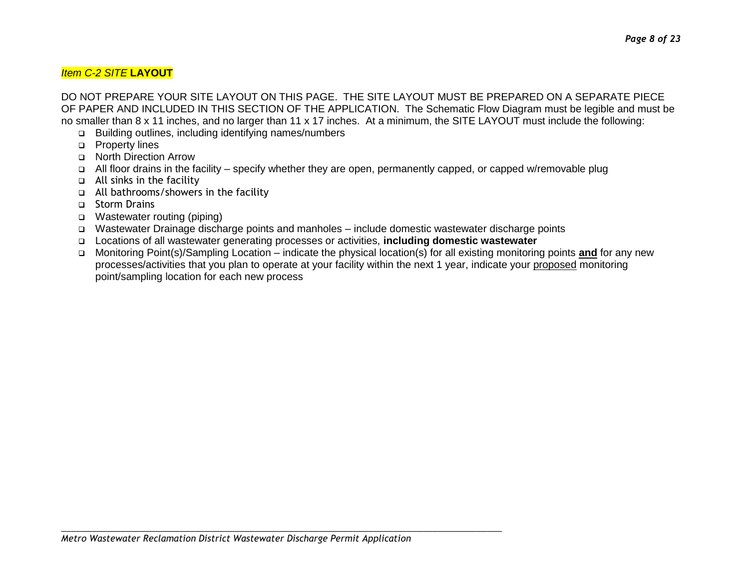DO NOT PREPARE YOUR SITE LAYOUT ON THIS PAGE. THE SITE LAYOUT MUST BE PREPARED ON A SEPARATE PIECE OF PAPER AND INCLUDED IN THIS SECTION OF THE APPLICATION. The Schematic Flow Diagram must be legible and must be no smaller than 8 x 11 inches, and no larger than 11 x 17 inches. At a minimum, the SITE LAYOUT must include the following:

- Building outlines, including identifying names/numbers
- **D** Property lines
- □ North Direction Arrow
- All floor drains in the facility specify whether they are open, permanently capped, or capped w/removable plug
- All sinks in the facility
- All bathrooms/showers in the facility
- □ Storm Drains
- Wastewater routing (piping)
- Wastewater Drainage discharge points and manholes include domestic wastewater discharge points
- Locations of all wastewater generating processes or activities, **including domestic wastewater**
- □ Monitoring Point(s)/Sampling Location indicate the physical location(s) for all existing monitoring points **and** for any new processes/activities that you plan to operate at your facility within the next 1 year, indicate your proposed monitoring point/sampling location for each new process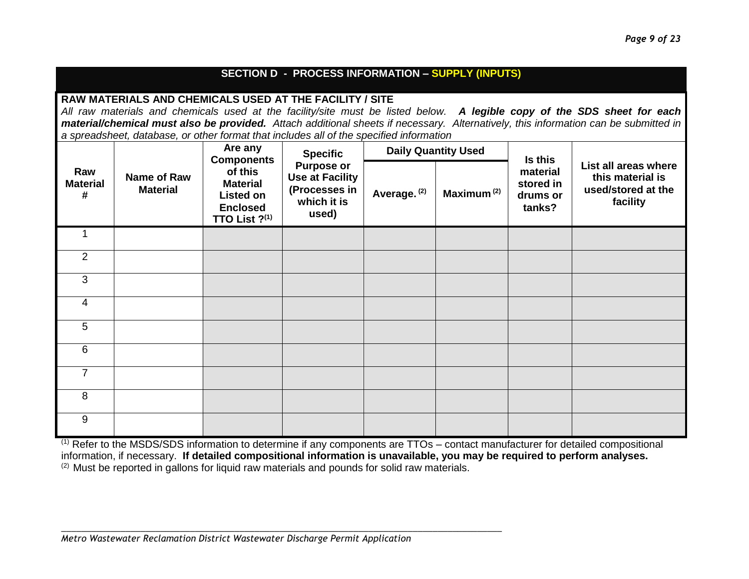#### **SECTION D - PROCESS INFORMATION – SUPPLY (INPUTS)**

#### **RAW MATERIALS AND CHEMICALS USED AT THE FACILITY / SITE**

*All raw materials and chemicals used at the facility/site must be listed below. A legible copy of the SDS sheet for each material/chemical must also be provided. Attach additional sheets if necessary. Alternatively, this information can be submitted in a spreadsheet, database, or other format that includes all of the specified information*

| Raw<br>Name of Raw<br><b>Material</b><br><b>Material</b><br># |  | Are any<br><b>Components</b><br>of this<br><b>Material</b><br><b>Listed on</b><br><b>Enclosed</b><br>TTO List ?(1) | <b>Specific</b><br><b>Purpose or</b><br><b>Use at Facility</b><br>(Processes in<br>which it is<br>used) | <b>Daily Quantity Used</b> |                        | Is this                                     |                                                                            |
|---------------------------------------------------------------|--|--------------------------------------------------------------------------------------------------------------------|---------------------------------------------------------------------------------------------------------|----------------------------|------------------------|---------------------------------------------|----------------------------------------------------------------------------|
|                                                               |  |                                                                                                                    |                                                                                                         | Average. <sup>(2)</sup>    | Maximum <sup>(2)</sup> | material<br>stored in<br>drums or<br>tanks? | List all areas where<br>this material is<br>used/stored at the<br>facility |
|                                                               |  |                                                                                                                    |                                                                                                         |                            |                        |                                             |                                                                            |
| $\overline{2}$                                                |  |                                                                                                                    |                                                                                                         |                            |                        |                                             |                                                                            |
| 3                                                             |  |                                                                                                                    |                                                                                                         |                            |                        |                                             |                                                                            |
| 4                                                             |  |                                                                                                                    |                                                                                                         |                            |                        |                                             |                                                                            |
| 5                                                             |  |                                                                                                                    |                                                                                                         |                            |                        |                                             |                                                                            |
| 6                                                             |  |                                                                                                                    |                                                                                                         |                            |                        |                                             |                                                                            |
| $\overline{7}$                                                |  |                                                                                                                    |                                                                                                         |                            |                        |                                             |                                                                            |
| 8                                                             |  |                                                                                                                    |                                                                                                         |                            |                        |                                             |                                                                            |
| $\boldsymbol{9}$                                              |  |                                                                                                                    |                                                                                                         |                            |                        |                                             |                                                                            |

 $(1)$  Refer to the MSDS/SDS information to determine if any components are TTOs – contact manufacturer for detailed compositional information, if necessary. **If detailed compositional information is unavailable, you may be required to perform analyses.** <sup>(2)</sup> Must be reported in gallons for liquid raw materials and pounds for solid raw materials.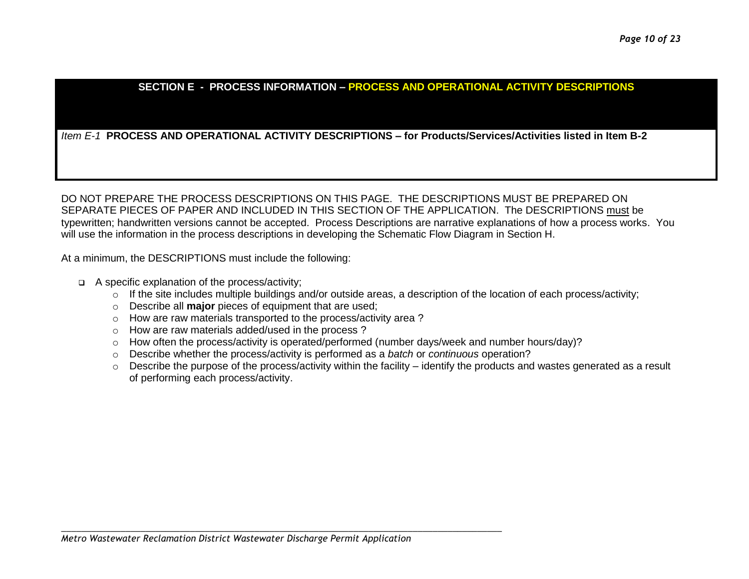#### **SECTION E - PROCESS INFORMATION – PROCESS AND OPERATIONAL ACTIVITY DESCRIPTIONS**

#### *Item E-1* **PROCESS AND OPERATIONAL ACTIVITY DESCRIPTIONS – for Products/Services/Activities listed in Item B-2**

DO NOT PREPARE THE PROCESS DESCRIPTIONS ON THIS PAGE. THE DESCRIPTIONS MUST BE PREPARED ON SEPARATE PIECES OF PAPER AND INCLUDED IN THIS SECTION OF THE APPLICATION. The DESCRIPTIONS must be typewritten; handwritten versions cannot be accepted. Process Descriptions are narrative explanations of how a process works. You will use the information in the process descriptions in developing the Schematic Flow Diagram in Section H.

At a minimum, the DESCRIPTIONS must include the following:

- A specific explanation of the process/activity;
	- $\circ$  If the site includes multiple buildings and/or outside areas, a description of the location of each process/activity;
	- o Describe all **major** pieces of equipment that are used;
	- o How are raw materials transported to the process/activity area ?
	- o How are raw materials added/used in the process ?
	- $\circ$  How often the process/activity is operated/performed (number days/week and number hours/day)?
	- o Describe whether the process/activity is performed as a *batch* or *continuous* operation?
	- o Describe the purpose of the process/activity within the facility identify the products and wastes generated as a result of performing each process/activity.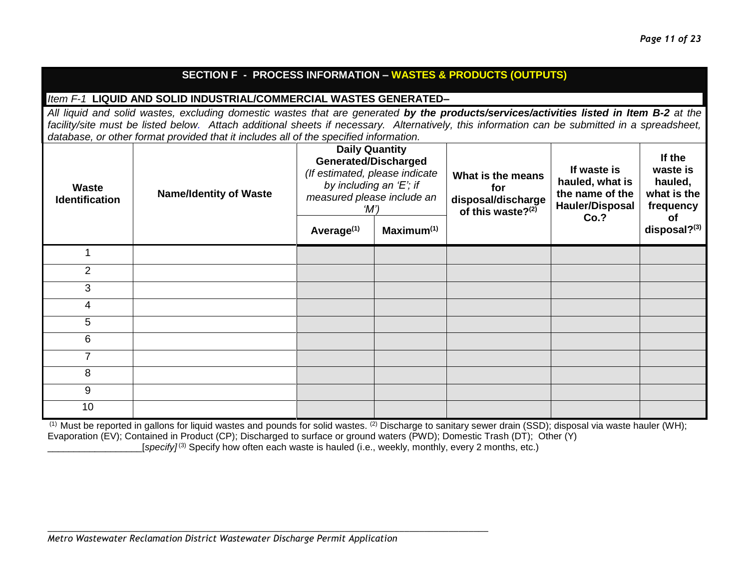#### **SECTION F - PROCESS INFORMATION – WASTES & PRODUCTS (OUTPUTS)**

#### *Item F-1* **LIQUID AND SOLID INDUSTRIAL/COMMERCIAL WASTES GENERATED–**

*All liquid and solid wastes, excluding domestic wastes that are generated by the products/services/activities listed in Item B-2 at the facility/site must be listed below. Attach additional sheets if necessary. Alternatively, this information can be submitted in a spreadsheet, database, or other format provided that it includes all of the specified information.*

| <b>Waste</b><br><b>Identification</b> | <b>Name/Identity of Waste</b> | <b>Daily Quantity</b><br><b>Generated/Discharged</b><br>(If estimated, please indicate<br>by including an 'E'; if<br>measured please include an<br>$^{\prime}$ M') |                        | What is the means<br>for<br>disposal/discharge<br>of this waste?(2) | If waste is<br>hauled, what is<br>the name of the<br><b>Hauler/Disposal</b><br>Co.? | If the<br>waste is<br>hauled,<br>what is the<br>frequency<br><b>of</b> |
|---------------------------------------|-------------------------------|--------------------------------------------------------------------------------------------------------------------------------------------------------------------|------------------------|---------------------------------------------------------------------|-------------------------------------------------------------------------------------|------------------------------------------------------------------------|
|                                       |                               | Average <sup>(1)</sup>                                                                                                                                             | Maximum <sup>(1)</sup> |                                                                     |                                                                                     | disposal?(3)                                                           |
|                                       |                               |                                                                                                                                                                    |                        |                                                                     |                                                                                     |                                                                        |
| 2                                     |                               |                                                                                                                                                                    |                        |                                                                     |                                                                                     |                                                                        |
| 3                                     |                               |                                                                                                                                                                    |                        |                                                                     |                                                                                     |                                                                        |
| 4                                     |                               |                                                                                                                                                                    |                        |                                                                     |                                                                                     |                                                                        |
| 5                                     |                               |                                                                                                                                                                    |                        |                                                                     |                                                                                     |                                                                        |
| 6                                     |                               |                                                                                                                                                                    |                        |                                                                     |                                                                                     |                                                                        |
| 7                                     |                               |                                                                                                                                                                    |                        |                                                                     |                                                                                     |                                                                        |
| 8                                     |                               |                                                                                                                                                                    |                        |                                                                     |                                                                                     |                                                                        |
| 9                                     |                               |                                                                                                                                                                    |                        |                                                                     |                                                                                     |                                                                        |
| 10                                    |                               |                                                                                                                                                                    |                        |                                                                     |                                                                                     |                                                                        |

(1) Must be reported in gallons for liquid wastes and pounds for solid wastes. (2) Discharge to sanitary sewer drain (SSD); disposal via waste hauler (WH); Evaporation (EV); Contained in Product (CP); Discharged to surface or ground waters (PWD); Domestic Trash (DT); Other (Y) [specify]<sup>(3)</sup> Specify how often each waste is hauled (i.e., weekly, monthly, every 2 months, etc.)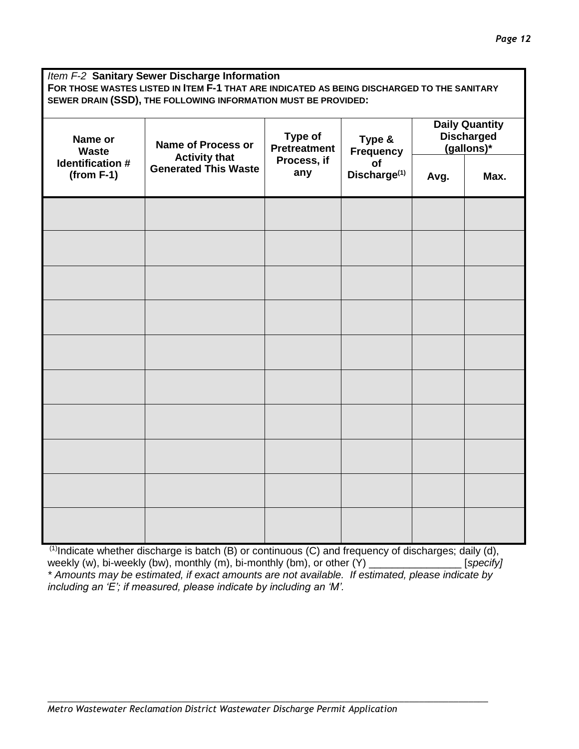*Item F-2* **Sanitary Sewer Discharge Information FOR THOSE WASTES LISTED IN ITEM F-1 THAT ARE INDICATED AS BEING DISCHARGED TO THE SANITARY SEWER DRAIN (SSD), THE FOLLOWING INFORMATION MUST BE PROVIDED:**

| Name or<br><b>Name of Process or</b><br><b>Waste</b> | Type of<br><b>Pretreatment</b>                                            | Type &<br>Frequency<br>of<br>Discharge <sup>(1)</sup> | <b>Daily Quantity</b><br><b>Discharged</b><br>(gallons)* |      |  |
|------------------------------------------------------|---------------------------------------------------------------------------|-------------------------------------------------------|----------------------------------------------------------|------|--|
| <b>Identification #</b><br>$(from F-1)$              | <b>Activity that</b><br>Process, if<br><b>Generated This Waste</b><br>any |                                                       | Avg.                                                     | Max. |  |
|                                                      |                                                                           |                                                       |                                                          |      |  |
|                                                      |                                                                           |                                                       |                                                          |      |  |
|                                                      |                                                                           |                                                       |                                                          |      |  |
|                                                      |                                                                           |                                                       |                                                          |      |  |
|                                                      |                                                                           |                                                       |                                                          |      |  |
|                                                      |                                                                           |                                                       |                                                          |      |  |
|                                                      |                                                                           |                                                       |                                                          |      |  |
|                                                      |                                                                           |                                                       |                                                          |      |  |
|                                                      |                                                                           |                                                       |                                                          |      |  |
|                                                      |                                                                           |                                                       |                                                          |      |  |

 $(1)$ Indicate whether discharge is batch (B) or continuous (C) and frequency of discharges; daily (d), weekly (w), bi-weekly (bw), monthly (m), bi-monthly (bm), or other (Y) \_\_\_\_\_\_\_\_\_\_\_\_\_\_\_\_ [*specify] \* Amounts may be estimated, if exact amounts are not available. If estimated, please indicate by including an 'E'; if measured, please indicate by including an 'M'.*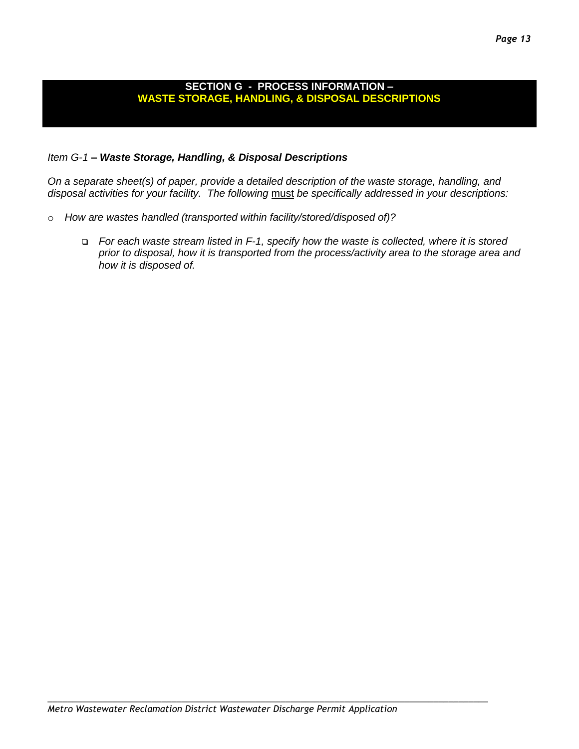#### *Page 13*

#### **SECTION G - PROCESS INFORMATION – WASTE STORAGE, HANDLING, & DISPOSAL DESCRIPTIONS**

#### *Item G-1 – Waste Storage, Handling, & Disposal Descriptions*

*On a separate sheet(s) of paper, provide a detailed description of the waste storage, handling, and disposal activities for your facility. The following* must *be specifically addressed in your descriptions:*

- o *How are wastes handled (transported within facility/stored/disposed of)?* 
	- *For each waste stream listed in F-1, specify how the waste is collected, where it is stored prior to disposal, how it is transported from the process/activity area to the storage area and how it is disposed of.*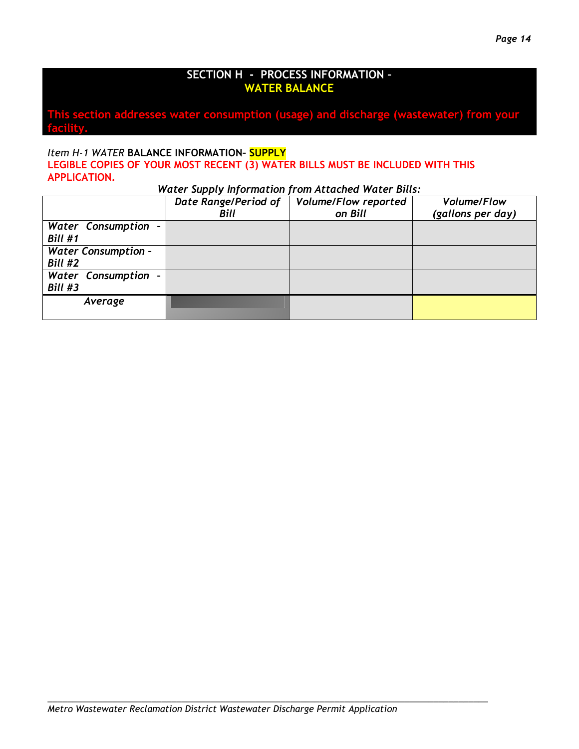#### **SECTION H - PROCESS INFORMATION – WATER BALANCE**

**This section addresses water consumption (usage) and discharge (wastewater) from your facility.**

#### *Item H-1 WATER* **BALANCE INFORMATION– SUPPLY LEGIBLE COPIES OF YOUR MOST RECENT (3) WATER BILLS MUST BE INCLUDED WITH THIS APPLICATION.**

*Water Supply Information from Attached Water Bills:*

|                            | Date Range/Period of | <b>Volume/Flow reported</b> | <b>Volume/Flow</b> |
|----------------------------|----------------------|-----------------------------|--------------------|
|                            | <b>Bill</b>          | on Bill                     | (gallons per day)  |
| Water Consumption -        |                      |                             |                    |
| Bill #1                    |                      |                             |                    |
| <b>Water Consumption -</b> |                      |                             |                    |
| Bill #2                    |                      |                             |                    |
| Water Consumption -        |                      |                             |                    |
| Bill #3                    |                      |                             |                    |
| Average                    |                      |                             |                    |
|                            |                      |                             |                    |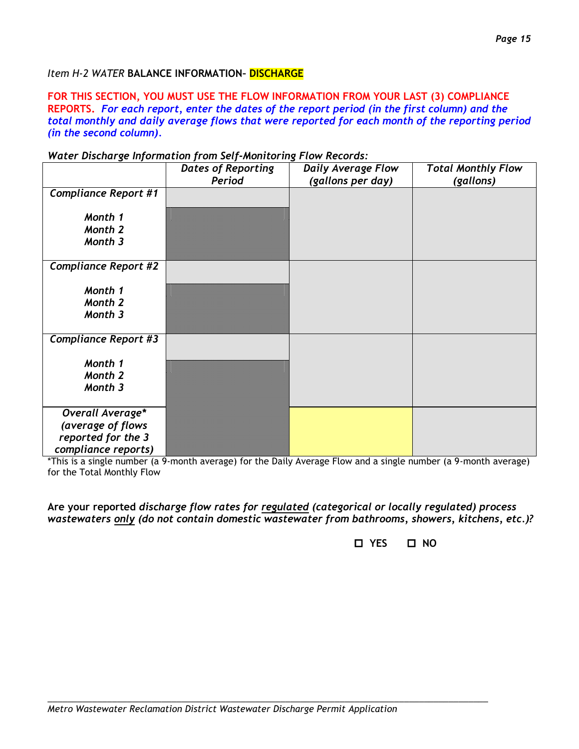#### *Item H-2 WATER* **BALANCE INFORMATION– DISCHARGE**

**FOR THIS SECTION, YOU MUST USE THE FLOW INFORMATION FROM YOUR LAST (3) COMPLIANCE REPORTS.** *For each report, enter the dates of the report period (in the first column) and the total monthly and daily average flows that were reported for each month of the reporting period (in the second column).*

#### *Water Discharge Information from Self-Monitoring Flow Records:*

|                                                                                    | <b>Dates of Reporting</b><br>Period | <b>Daily Average Flow</b><br>(gallons per day) | <b>Total Monthly Flow</b><br>(gallons) |
|------------------------------------------------------------------------------------|-------------------------------------|------------------------------------------------|----------------------------------------|
| <b>Compliance Report #1</b>                                                        |                                     |                                                |                                        |
| Month 1<br>Month 2<br>Month 3                                                      |                                     |                                                |                                        |
| <b>Compliance Report #2</b>                                                        |                                     |                                                |                                        |
| Month 1<br>Month 2<br>Month 3                                                      |                                     |                                                |                                        |
| <b>Compliance Report #3</b>                                                        |                                     |                                                |                                        |
| Month 1<br>Month 2<br>Month 3                                                      |                                     |                                                |                                        |
| Overall Average*<br>(average of flows<br>reported for the 3<br>compliance reports) |                                     |                                                |                                        |

\*This is a single number (a 9-month average) for the Daily Average Flow and a single number (a 9-month average) for the Total Monthly Flow

**Are your reported** *discharge flow rates for regulated (categorical or locally regulated) process wastewaters only (do not contain domestic wastewater from bathrooms, showers, kitchens, etc.)?* 

 **YES NO**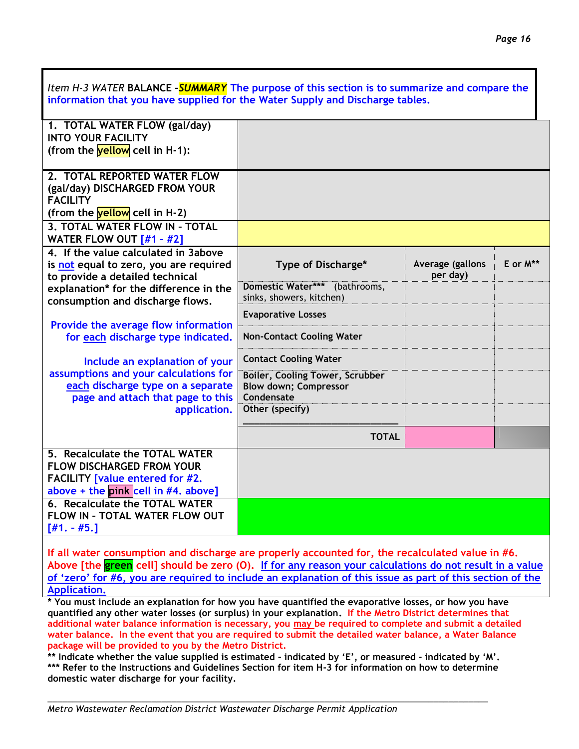| Item H-3 WATER BALANCE -SUMMARY The purpose of this section is to summarize and compare the                     |                                                                                      |                  |          |
|-----------------------------------------------------------------------------------------------------------------|--------------------------------------------------------------------------------------|------------------|----------|
| information that you have supplied for the Water Supply and Discharge tables.                                   |                                                                                      |                  |          |
| 1. TOTAL WATER FLOW (gal/day)<br><b>INTO YOUR FACILITY</b>                                                      |                                                                                      |                  |          |
| (from the $yellow$ cell in H-1):                                                                                |                                                                                      |                  |          |
| 2. TOTAL REPORTED WATER FLOW                                                                                    |                                                                                      |                  |          |
| (gal/day) DISCHARGED FROM YOUR<br><b>FACILITY</b>                                                               |                                                                                      |                  |          |
| (from the yellow cell in H-2)                                                                                   |                                                                                      |                  |          |
| 3. TOTAL WATER FLOW IN - TOTAL<br>WATER FLOW OUT $[#1 - #2]$                                                    |                                                                                      |                  |          |
| 4. If the value calculated in 3above<br>is not equal to zero, you are required                                  | Type of Discharge*                                                                   | Average (gallons | E or M** |
| to provide a detailed technical                                                                                 |                                                                                      | per day)         |          |
| explanation* for the difference in the<br>consumption and discharge flows.                                      | Domestic Water*** (bathrooms,<br>sinks, showers, kitchen)                            |                  |          |
|                                                                                                                 | <b>Evaporative Losses</b>                                                            |                  |          |
| Provide the average flow information<br>for each discharge type indicated.                                      | <b>Non-Contact Cooling Water</b>                                                     |                  |          |
| Include an explanation of your                                                                                  | <b>Contact Cooling Water</b>                                                         |                  |          |
| assumptions and your calculations for<br>each discharge type on a separate<br>page and attach that page to this | <b>Boiler, Cooling Tower, Scrubber</b><br><b>Blow down; Compressor</b><br>Condensate |                  |          |
| application.                                                                                                    | Other (specify)                                                                      |                  |          |
|                                                                                                                 | <b>TOTAL</b>                                                                         |                  |          |
| 5. Recalculate the TOTAL WATER                                                                                  |                                                                                      |                  |          |
| <b>FLOW DISCHARGED FROM YOUR</b><br><b>FACILITY</b> [value entered for #2.                                      |                                                                                      |                  |          |
| above + the pink cell in #4. above]                                                                             |                                                                                      |                  |          |
| <b>6. Recalculate the TOTAL WATER</b>                                                                           |                                                                                      |                  |          |
| FLOW IN - TOTAL WATER FLOW OUT<br>$[#1. - #5.]$                                                                 |                                                                                      |                  |          |
|                                                                                                                 |                                                                                      |                  |          |

**If all water consumption and discharge are properly accounted for, the recalculated value in #6. Above [the green cell] should be zero (O). If for any reason your calculations do not result in a value of 'zero' for #6, you are required to include an explanation of this issue as part of this section of the Application.**

**\* You must include an explanation for how you have quantified the evaporative losses, or how you have quantified any other water losses (or surplus) in your explanation. If the Metro District determines that additional water balance information is necessary, you may be required to complete and submit a detailed water balance. In the event that you are required to submit the detailed water balance, a Water Balance package will be provided to you by the Metro District.** 

**\*\* Indicate whether the value supplied is estimated – indicated by 'E', or measured – indicated by 'M'. \*\*\* Refer to the Instructions and Guidelines Section for item H-3 for information on how to determine domestic water discharge for your facility.**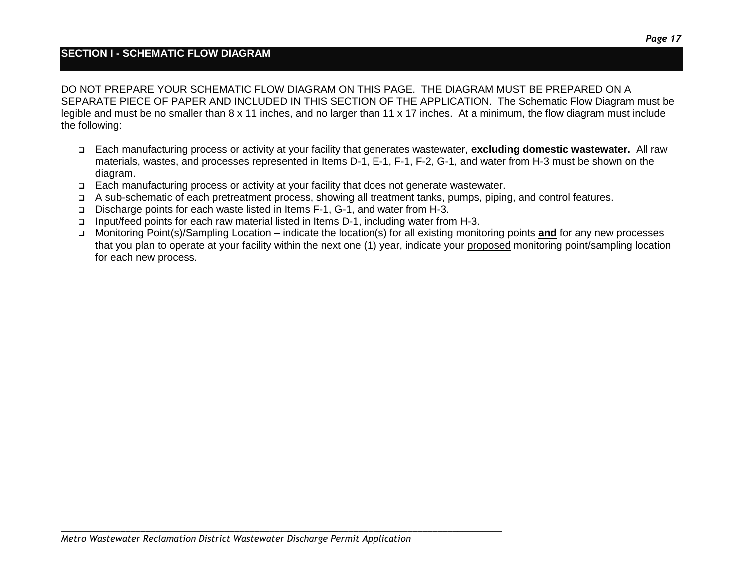#### **SECTION I - SCHEMATIC FLOW DIAGRAM**

DO NOT PREPARE YOUR SCHEMATIC FLOW DIAGRAM ON THIS PAGE. THE DIAGRAM MUST BE PREPARED ON A SEPARATE PIECE OF PAPER AND INCLUDED IN THIS SECTION OF THE APPLICATION. The Schematic Flow Diagram must be legible and must be no smaller than 8 x 11 inches, and no larger than 11 x 17 inches. At a minimum, the flow diagram must include the following:

- Each manufacturing process or activity at your facility that generates wastewater, **excluding domestic wastewater.** All raw materials, wastes, and processes represented in Items D-1, E-1, F-1, F-2, G-1, and water from H-3 must be shown on the diagram.
- Each manufacturing process or activity at your facility that does not generate wastewater.
- A sub-schematic of each pretreatment process, showing all treatment tanks, pumps, piping, and control features.
- Discharge points for each waste listed in Items F-1, G-1, and water from H-3.
- Input/feed points for each raw material listed in Items D-1, including water from H-3.
- Monitoring Point(s)/Sampling Location indicate the location(s) for all existing monitoring points **and** for any new processes that you plan to operate at your facility within the next one (1) year, indicate your proposed monitoring point/sampling location for each new process.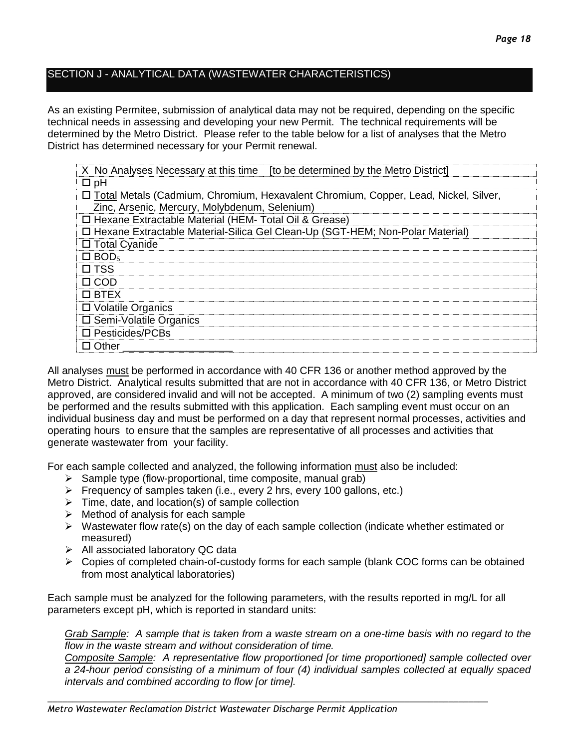#### SECTION J - ANALYTICAL DATA (WASTEWATER CHARACTERISTICS)

As an existing Permitee, submission of analytical data may not be required, depending on the specific technical needs in assessing and developing your new Permit. The technical requirements will be determined by the Metro District. Please refer to the table below for a list of analyses that the Metro District has determined necessary for your Permit renewal.

| X No Analyses Necessary at this time [to be determined by the Metro District]         |  |  |
|---------------------------------------------------------------------------------------|--|--|
| $\square$ pH                                                                          |  |  |
| □ Total Metals (Cadmium, Chromium, Hexavalent Chromium, Copper, Lead, Nickel, Silver, |  |  |
| Zinc, Arsenic, Mercury, Molybdenum, Selenium)                                         |  |  |
| □ Hexane Extractable Material (HEM- Total Oil & Grease)                               |  |  |
| □ Hexane Extractable Material-Silica Gel Clean-Up (SGT-HEM; Non-Polar Material)       |  |  |
| □ Total Cyanide                                                                       |  |  |
| $\Box$ BOD <sub>5</sub>                                                               |  |  |
| $\square$ TSS                                                                         |  |  |
| $\Box$ COD                                                                            |  |  |
| $\square$ BTEX                                                                        |  |  |
| □ Volatile Organics                                                                   |  |  |
| □ Semi-Volatile Organics                                                              |  |  |
| $\square$ Pesticides/PCBs                                                             |  |  |
| $\Box$ Other                                                                          |  |  |

All analyses must be performed in accordance with 40 CFR 136 or another method approved by the Metro District. Analytical results submitted that are not in accordance with 40 CFR 136, or Metro District approved, are considered invalid and will not be accepted. A minimum of two (2) sampling events must be performed and the results submitted with this application. Each sampling event must occur on an individual business day and must be performed on a day that represent normal processes, activities and operating hours to ensure that the samples are representative of all processes and activities that generate wastewater from your facility.

For each sample collected and analyzed, the following information must also be included:

- $\triangleright$  Sample type (flow-proportional, time composite, manual grab)
- $\triangleright$  Frequency of samples taken (i.e., every 2 hrs, every 100 gallons, etc.)
- $\triangleright$  Time, date, and location(s) of sample collection
- $\triangleright$  Method of analysis for each sample
- $\triangleright$  Wastewater flow rate(s) on the day of each sample collection (indicate whether estimated or measured)
- $\triangleright$  All associated laboratory QC data
- $\triangleright$  Copies of completed chain-of-custody forms for each sample (blank COC forms can be obtained from most analytical laboratories)

Each sample must be analyzed for the following parameters, with the results reported in mg/L for all parameters except pH, which is reported in standard units:

*\_\_\_\_\_\_\_\_\_\_\_\_\_\_\_\_\_\_\_\_\_\_\_\_\_\_\_\_\_\_\_\_\_\_\_\_\_\_\_\_\_\_\_\_\_\_\_\_\_\_\_\_\_\_\_\_\_\_\_\_\_\_\_\_\_\_\_\_\_\_\_\_\_\_\_\_\_\_\_\_\_\_\_\_\_\_\_\_\_*

*Grab Sample: A sample that is taken from a waste stream on a one-time basis with no regard to the flow in the waste stream and without consideration of time.*

*Composite Sample: A representative flow proportioned [or time proportioned] sample collected over a 24-hour period consisting of a minimum of four (4) individual samples collected at equally spaced intervals and combined according to flow [or time].*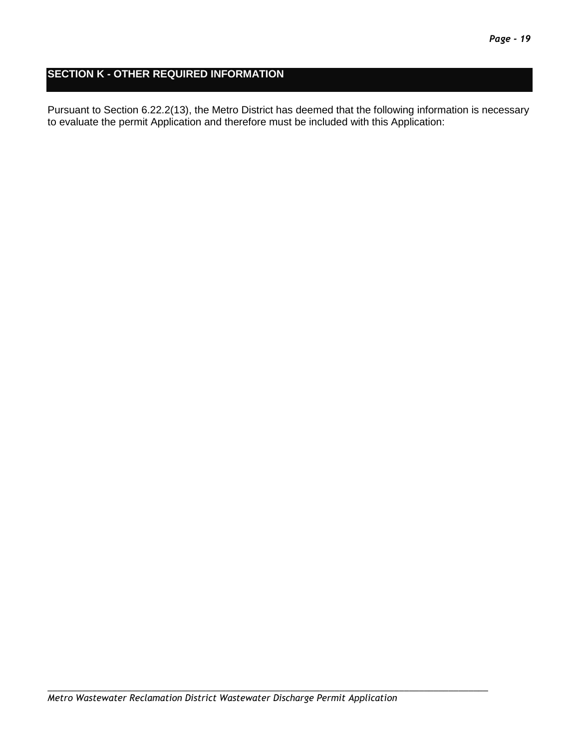#### **SECTION K - OTHER REQUIRED INFORMATION**

Pursuant to Section 6.22.2(13), the Metro District has deemed that the following information is necessary to evaluate the permit Application and therefore must be included with this Application: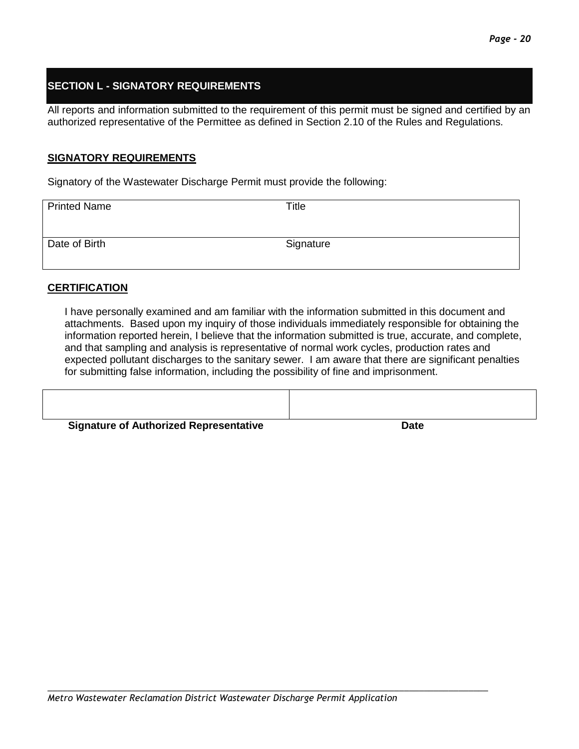#### **SECTION L - SIGNATORY REQUIREMENTS**

All reports and information submitted to the requirement of this permit must be signed and certified by an authorized representative of the Permittee as defined in Section 2.10 of the Rules and Regulations.

#### **SIGNATORY REQUIREMENTS**

Signatory of the Wastewater Discharge Permit must provide the following:

| <b>Printed Name</b> | Title     |
|---------------------|-----------|
| Date of Birth       | Signature |

#### **CERTIFICATION**

I have personally examined and am familiar with the information submitted in this document and attachments. Based upon my inquiry of those individuals immediately responsible for obtaining the information reported herein, I believe that the information submitted is true, accurate, and complete, and that sampling and analysis is representative of normal work cycles, production rates and expected pollutant discharges to the sanitary sewer. I am aware that there are significant penalties for submitting false information, including the possibility of fine and imprisonment.

| <b>Signature of Authorized Representative</b> | <b>Date</b> |
|-----------------------------------------------|-------------|